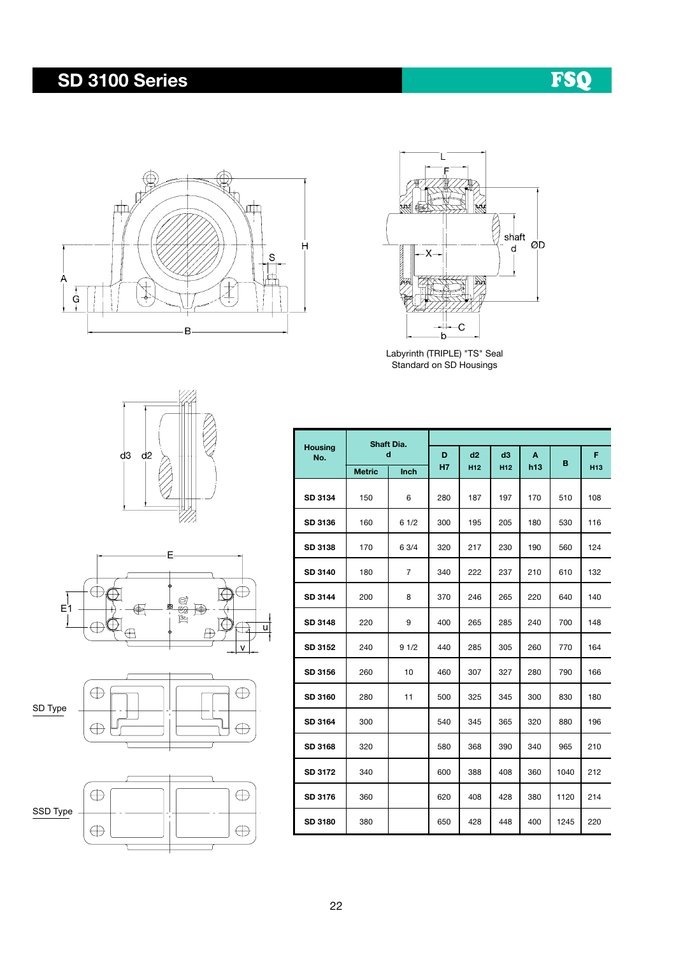## SD 3100 Series

## FSQ





Labyrinth (TRIPLE) "TS" Seal Standard on SD Housings









|                       |               | Shaft Dia.     |                |                       |                       |          |      |                      |  |  |  |  |  |
|-----------------------|---------------|----------------|----------------|-----------------------|-----------------------|----------|------|----------------------|--|--|--|--|--|
| <b>Housing</b><br>No. | <b>Metric</b> | d<br>Inch      | D<br><b>H7</b> | d2<br>H <sub>12</sub> | d3<br>H <sub>12</sub> | A<br>h13 | В    | F<br>H <sub>13</sub> |  |  |  |  |  |
|                       |               |                |                |                       |                       |          |      |                      |  |  |  |  |  |
| SD 3134               | 150           | 6              | 280            | 187                   | 197                   | 170      | 510  | 108                  |  |  |  |  |  |
| SD 3136               | 160           | 61/2           | 300            | 195                   | 205                   | 180      | 530  | 116                  |  |  |  |  |  |
| SD 3138               | 170           | 6 3/4          | 320            | 217                   | 230                   | 190      | 560  | 124                  |  |  |  |  |  |
| SD 3140               | 180           | $\overline{7}$ | 340            | 222                   | 237                   | 210      | 610  | 132                  |  |  |  |  |  |
| SD 3144               | 200           | 8              | 370            | 246                   | 265                   | 220      | 640  | 140                  |  |  |  |  |  |
| SD 3148               | 220           | 9              | 400            | 265                   | 285                   | 240      | 700  | 148                  |  |  |  |  |  |
| SD 3152               | 240           | 91/2           | 440            | 285                   | 305                   | 260      | 770  | 164                  |  |  |  |  |  |
| SD 3156               | 260           | 10             | 460            | 307                   | 327                   | 280      | 790  | 166                  |  |  |  |  |  |
| SD 3160               | 280           | 11             | 500            | 325                   | 345                   | 300      | 830  | 180                  |  |  |  |  |  |
| SD 3164               | 300           |                | 540            | 345                   | 365                   | 320      | 880  | 196                  |  |  |  |  |  |
| SD 3168               | 320           |                | 580            | 368                   | 390                   | 340      | 965  | 210                  |  |  |  |  |  |
| SD 3172               | 340           |                | 600            | 388                   | 408                   | 360      | 1040 | 212                  |  |  |  |  |  |
| SD 3176               | 360           |                | 620            | 408                   | 428                   | 380      | 1120 | 214                  |  |  |  |  |  |
| SD 3180               | 380           |                | 650            | 428                   | 448                   | 400      | 1245 | 220                  |  |  |  |  |  |